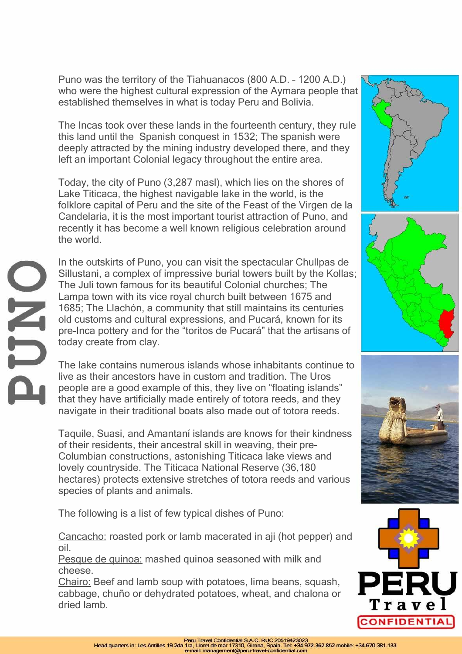Puno was the territory of the Tiahuanacos (800 A.D. – 1200 A.D.) who were the highest cultural expression of the Aymara people that established themselves in what is today Peru and Bolivia.

The Incas took over these lands in the fourteenth century, they rule this land until the Spanish conquest in 1532; The spanish were deeply attracted by the mining industry developed there, and they left an important Colonial legacy throughout the entire area.

Today, the city of Puno (3,287 masl), which lies on the shores of Lake Titicaca, the highest navigable lake in the world, is the folklore capital of Peru and the site of the Feast of the Virgen de la Candelaria, it is the most important tourist attraction of Puno, and recently it has become a well known religious celebration around the world.

JHC

In the outskirts of Puno, you can visit the spectacular Chullpas de Sillustani, a complex of impressive burial towers built by the Kollas; The Juli town famous for its beautiful Colonial churches; The Lampa town with its vice royal church built between 1675 and 1685; The Llachón, a community that still maintains its centuries old customs and cultural expressions, and Pucará, known for its pre-Inca pottery and for the "toritos de Pucará" that the artisans of today create from clay.

The lake contains numerous islands whose inhabitants continue to live as their ancestors have in custom and tradition. The Uros people are a good example of this, they live on "floating islands" that they have artificially made entirely of totora reeds, and they navigate in their traditional boats also made out of totora reeds.

Taquile, Suasi, and Amantaní islands are knows for their kindness of their residents, their ancestral skill in weaving, their pre-Columbian constructions, astonishing Titicaca lake views and lovely countryside. The Titicaca National Reserve (36,180 hectares) protects extensive stretches of totora reeds and various species of plants and animals.

The following is a list of few typical dishes of Puno:

Cancacho: roasted pork or lamb macerated in aji (hot pepper) and oil.

Pesque de quinoa: mashed quinoa seasoned with milk and cheese.

Chairo: Beef and lamb soup with potatoes, lima beans, squash, cabbage, chuño or dehydrated potatoes, wheat, and chalona or dried lamb.